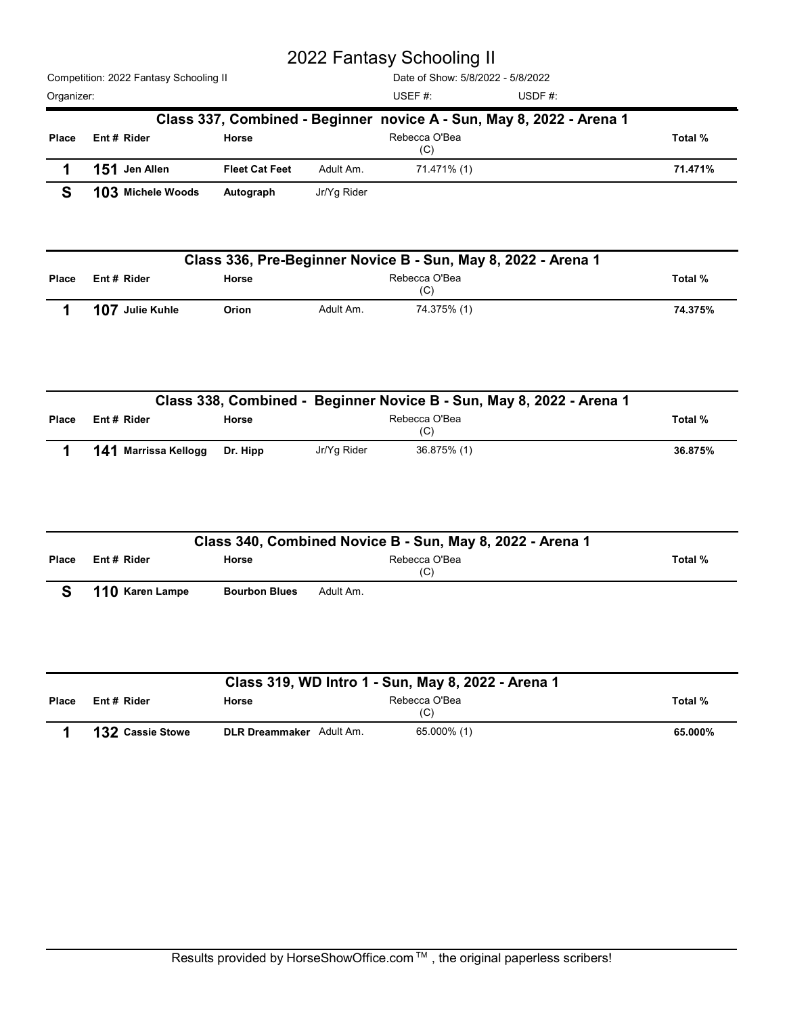|            |                                        |                       |             | 2022 Fantasy Schooling II                                                  |                                                                      |         |
|------------|----------------------------------------|-----------------------|-------------|----------------------------------------------------------------------------|----------------------------------------------------------------------|---------|
|            | Competition: 2022 Fantasy Schooling II |                       |             | Date of Show: 5/8/2022 - 5/8/2022                                          |                                                                      |         |
| Organizer: |                                        |                       |             | USEF#:                                                                     | USDF#:                                                               |         |
|            |                                        |                       |             |                                                                            | Class 337, Combined - Beginner novice A - Sun, May 8, 2022 - Arena 1 |         |
| Place      | Ent# Rider                             | Horse                 |             | Rebecca O'Bea<br>(C)                                                       |                                                                      | Total % |
| 1          | 151 Jen Allen                          | <b>Fleet Cat Feet</b> | Adult Am.   | 71.471% (1)                                                                |                                                                      | 71.471% |
| S          | 103 Michele Woods                      | Autograph             | Jr/Yg Rider |                                                                            |                                                                      |         |
|            |                                        |                       |             |                                                                            |                                                                      |         |
|            |                                        |                       |             | Class 336, Pre-Beginner Novice B - Sun, May 8, 2022 - Arena 1              |                                                                      |         |
| Place      | Ent # Rider                            | Horse                 |             | Rebecca O'Bea<br>(C)                                                       |                                                                      | Total % |
| 1          | 107 Julie Kuhle                        | Orion                 | Adult Am.   | 74.375% (1)                                                                |                                                                      | 74.375% |
|            |                                        |                       |             |                                                                            |                                                                      |         |
|            |                                        |                       |             |                                                                            |                                                                      |         |
|            |                                        |                       |             |                                                                            | Class 338, Combined - Beginner Novice B - Sun, May 8, 2022 - Arena 1 |         |
| Place      | Ent # Rider                            | Horse                 |             | Rebecca O'Bea<br>(C)                                                       |                                                                      | Total % |
|            | 141 Marrissa Kellogg                   | Dr. Hipp              | Jr/Yg Rider | 36.875% (1)                                                                |                                                                      | 36.875% |
|            |                                        |                       |             |                                                                            |                                                                      |         |
|            |                                        |                       |             |                                                                            |                                                                      |         |
|            |                                        |                       |             |                                                                            |                                                                      |         |
| Place      | Ent # Rider                            | Horse                 |             | Class 340, Combined Novice B - Sun, May 8, 2022 - Arena 1<br>Rebecca O'Bea |                                                                      | Total % |
|            |                                        |                       |             | (C)                                                                        |                                                                      |         |
| S          | 110 Karen Lampe                        | <b>Bourbon Blues</b>  | Adult Am.   |                                                                            |                                                                      |         |

|       |                             |          |             | Class 330, Compiled - Deginiter Novice D - Sull, May 0, 2022 - Alena T |         |
|-------|-----------------------------|----------|-------------|------------------------------------------------------------------------|---------|
| Place | Ent#Rider                   | Horse    |             | Rebecca O'Bea<br>(C)                                                   | Total % |
|       | <b>141</b> Marrissa Kellogg | Dr. Hipp | Jr/Yq Rider | 36.875% (1)                                                            | 36.875% |

|              |                      |                      | Class 338, Combined - Beginner Novice B - Sun, May 8, 2022 - Arena 1 |         |
|--------------|----------------------|----------------------|----------------------------------------------------------------------|---------|
| Place        | Ent# Rider           | Horse                | Rebecca O'Bea<br>(C)                                                 | Total % |
|              | 141 Marrissa Kellogg | Dr. Hipp             | Jr/Yg Rider<br>36.875% (1)                                           | 36.875% |
|              |                      |                      | Class 340, Combined Novice B - Sun, May 8, 2022 - Arena 1            |         |
| Place        | Ent# Rider           | Horse                | Rebecca O'Bea<br>(C)                                                 | Total % |
| S            | 110 Karen Lampe      | <b>Bourbon Blues</b> | Adult Am.                                                            |         |
|              |                      |                      | Class 319, WD Intro 1 - Sun, May 8, 2022 - Arena 1                   |         |
|              | Ent# Rider           | Horse                | Rebecca O'Bea<br>(C)                                                 | Total % |
| <b>Place</b> |                      |                      |                                                                      |         |

|       |                         |                                 | Class 319, WD Intro 1 - Sun, May 8, 2022 - Arena 1 |         |
|-------|-------------------------|---------------------------------|----------------------------------------------------|---------|
| Place | Ent# Rider              | Horse                           | Rebecca O'Bea<br>(C)                               | Total % |
|       | <b>132 Cassie Stowe</b> | <b>DLR Dreammaker</b> Adult Am. | 65.000% (1)                                        | 65.000% |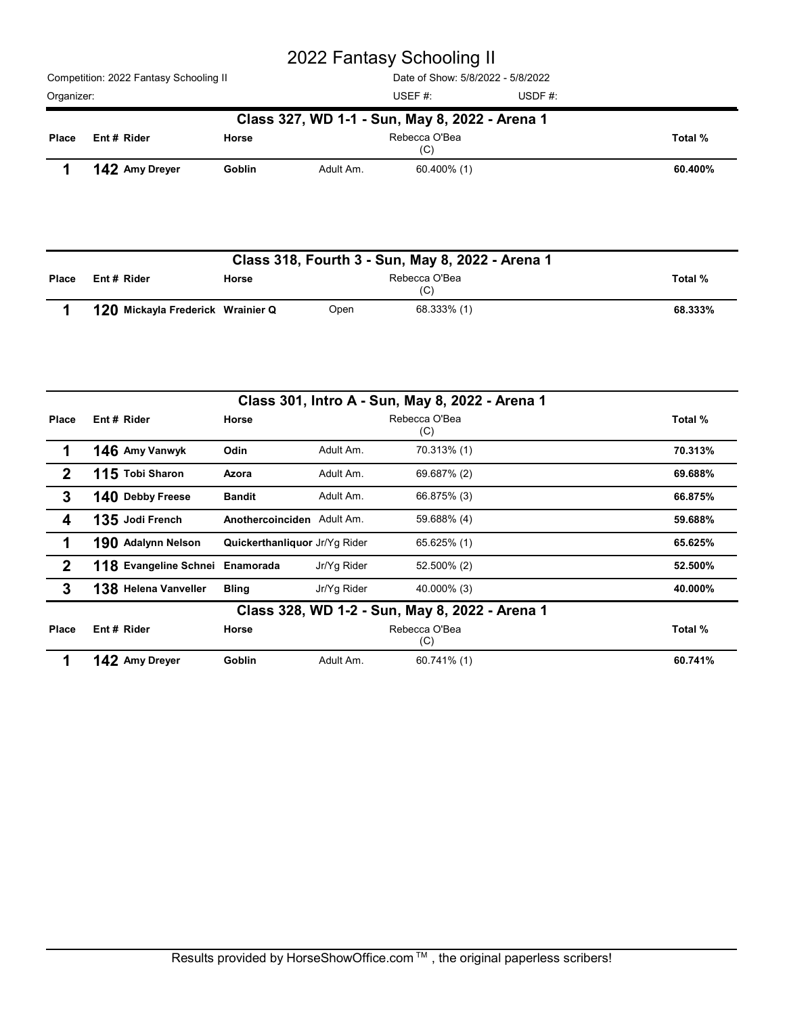Competition: 2022 Fantasy Schooling II Organizer: USDF #: Date of Show: 5/8/2022 - 5/8/2022 USEF #: USDF #: Rebecca O'Bea (C) Competition: 2022 Fantasy Schooling II<br>
Date of Show: 5/8/2022 - 5/8/2022<br>
Drganizer:<br>
USEF #: USDF #: USDF #: USDF #: USDF #: USDF #: USDF #: USDF #: USDF #: USDF #: USDF #: USDF #: USDF #: USDF #: USDF #: USDF #: USDF # Class 327, WD 1-1 - Sun, May 8, 2022 - Arena 1 Ent # Rider Morse 2022 Fantasy Schooling II<br>
Date of Show: 5/8/2022 - 5/8/2022<br>
I Date of Show: 5/8/2022 - 5/8/2022<br>
USEF #:<br>
USEF #:<br>
USEF #:<br>
USEF #:<br>
USEF #:<br>
USEF #:<br>
USEF #:<br>
USEF #:<br>
USEF #:<br>
USEF #:<br>
USEF #:<br>
USEF #:<br>
USEF #:<br>
USEF

|            |                                        |        |           | 2022 Fantasy Schooling II                        |        |         |
|------------|----------------------------------------|--------|-----------|--------------------------------------------------|--------|---------|
|            | Competition: 2022 Fantasy Schooling II |        |           | Date of Show: 5/8/2022 - 5/8/2022                |        |         |
| Organizer: |                                        |        |           | USEF#:                                           | USDF#: |         |
|            |                                        |        |           | Class 327, WD 1-1 - Sun, May 8, 2022 - Arena 1   |        |         |
| Place      | Ent # Rider                            | Horse  |           | Rebecca O'Bea<br>(C)                             |        | Total % |
|            | 142 Amy Dreyer                         | Goblin | Adult Am. | 60.400% (1)                                      |        | 60.400% |
|            |                                        |        |           |                                                  |        |         |
|            |                                        |        |           | Class 318, Fourth 3 - Sun, May 8, 2022 - Arena 1 |        |         |
| Place      | Ent # Rider                            | Horse  |           | Rebecca O'Bea<br>(C)                             |        | Total % |
|            | 120 Mickayla Frederick Wrainier Q      |        | Open      | 68.333% (1)                                      |        | 68.333% |

| Organizer:       |                                   |                               |             | USEF #:                                          | USDF#: |         |
|------------------|-----------------------------------|-------------------------------|-------------|--------------------------------------------------|--------|---------|
|                  |                                   |                               |             | Class 327, WD 1-1 - Sun, May 8, 2022 - Arena 1   |        |         |
| Place            | Ent # Rider                       | Horse                         |             | Rebecca O'Bea<br>(C)                             |        | Total % |
|                  | 142 Amy Dreyer                    | Goblin                        | Adult Am.   | 60.400% (1)                                      |        | 60.400% |
|                  |                                   |                               |             | Class 318, Fourth 3 - Sun, May 8, 2022 - Arena 1 |        |         |
| <b>Place</b>     | Ent # Rider                       | Horse                         |             | Rebecca O'Bea<br>(C)                             |        | Total % |
|                  | 120 Mickayla Frederick Wrainier Q |                               | Open        | 68.333% (1)                                      |        | 68.333% |
|                  |                                   |                               |             |                                                  |        |         |
|                  |                                   |                               |             | Class 301, Intro A - Sun, May 8, 2022 - Arena 1  |        |         |
| Place            | Ent # Rider                       | Horse                         |             | Rebecca O'Bea<br>(C)                             |        | Total % |
| 1                | 146 Amy Vanwyk                    | Odin                          | Adult Am.   | 70.313% (1)                                      |        | 70.313% |
| $\boldsymbol{2}$ | 115 Tobi Sharon                   | Azora                         | Adult Am.   | 69.687% (2)                                      |        | 69.688% |
| $\mathbf 3$      | 140 Debby Freese                  | <b>Bandit</b>                 | Adult Am.   | 66.875% (3)                                      |        | 66.875% |
| 4                | 135 Jodi French                   | Anothercoinciden Adult Am.    |             | 59.688% (4)                                      |        | 59.688% |
| 1                | 190 Adalynn Nelson                | Quickerthanliquor Jr/Yg Rider |             | 65.625% (1)                                      |        | 65.625% |
| $\boldsymbol{2}$ | 118 Evangeline Schnei Enamorada   |                               | Jr/Yg Rider | 52.500% (2)                                      |        | 52.500% |
| $\mathbf 3$      | 138 Helena Vanveller              | <b>Bling</b>                  | Jr/Yg Rider | 40.000% (3)                                      |        | 40.000% |
|                  |                                   |                               |             | Class 328, WD 1-2 - Sun, May 8, 2022 - Arena 1   |        |         |
| Place            | Ent # Rider                       | Horse                         |             | Rebecca O'Bea<br>(C)                             |        | Total % |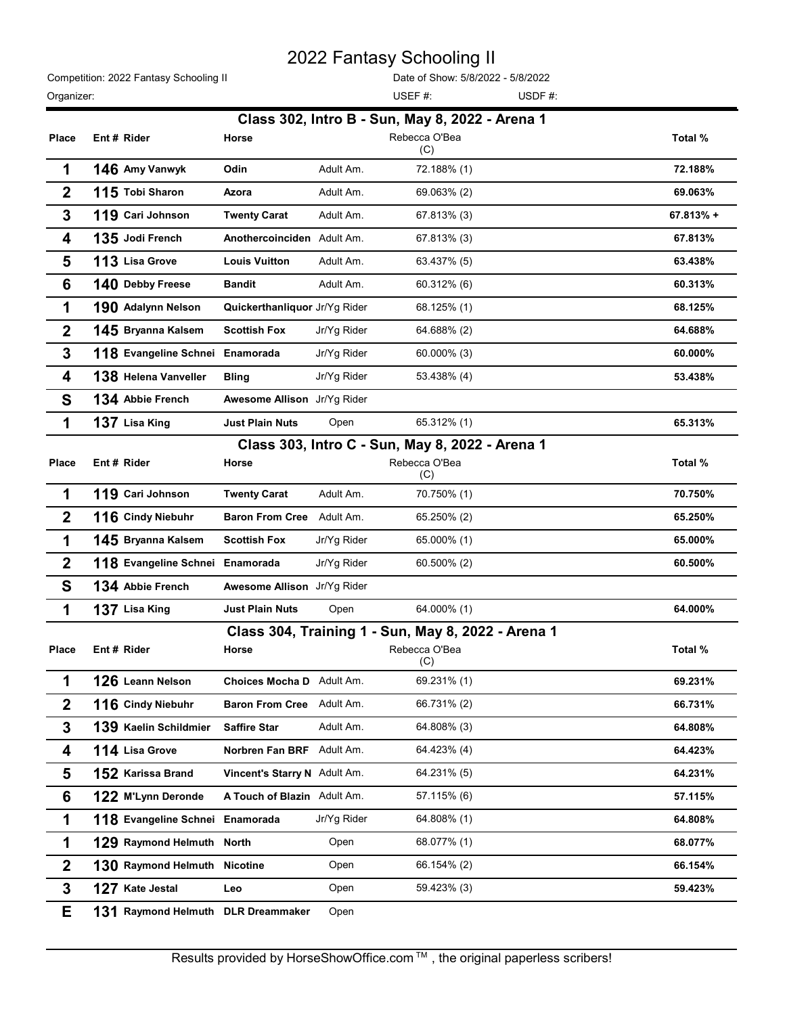| Competition: 2022 Fantasy Schooling II |  |
|----------------------------------------|--|
| Organizer:                             |  |

|                  |                                        |                               |             | 2022 Fantasy Schooling II                             |           |
|------------------|----------------------------------------|-------------------------------|-------------|-------------------------------------------------------|-----------|
| Organizer:       | Competition: 2022 Fantasy Schooling II |                               |             | Date of Show: 5/8/2022 - 5/8/2022<br>USEF#:<br>USDF#: |           |
|                  |                                        |                               |             | Class 302, Intro B - Sun, May 8, 2022 - Arena 1       |           |
| <b>Place</b>     | Ent # Rider                            | Horse                         |             | Rebecca O'Bea<br>(C)                                  | Total %   |
| 1                | 146 Amy Vanwyk                         | Odin                          | Adult Am.   | 72.188% (1)                                           | 72.188%   |
| $\boldsymbol{2}$ | 115 Tobi Sharon                        | Azora                         | Adult Am.   | 69.063% (2)                                           | 69.063%   |
| 3                | 119 Cari Johnson                       | <b>Twenty Carat</b>           | Adult Am.   | 67.813% (3)                                           | 67.813% + |
| 4                | 135 Jodi French                        | Anothercoinciden Adult Am.    |             | 67.813% (3)                                           | 67.813%   |
| 5                | 113 Lisa Grove                         | <b>Louis Vuitton</b>          | Adult Am.   | 63.437% (5)                                           | 63.438%   |
| $6\phantom{1}6$  | 140 Debby Freese                       | <b>Bandit</b>                 | Adult Am.   | 60.312% (6)                                           | 60.313%   |
| 1                | 190 Adalynn Nelson                     | Quickerthanliquor Jr/Yg Rider |             | 68.125% (1)                                           | 68.125%   |
| $\boldsymbol{2}$ | 145 Bryanna Kalsem                     | <b>Scottish Fox</b>           | Jr/Yg Rider | 64.688% (2)                                           | 64.688%   |
| 3                | 118 Evangeline Schnei Enamorada        |                               | Jr/Yg Rider | 60.000% (3)                                           | 60.000%   |
| 4                | 138 Helena Vanveller Bling             |                               | Jr/Yg Rider | 53.438% (4)                                           | 53.438%   |
| S                | 134 Abbie French                       | Awesome Allison Jr/Yg Rider   |             |                                                       |           |
| 1                | 137 Lisa King                          | <b>Just Plain Nuts</b>        | Open        | 65.312% (1)                                           | 65.313%   |
|                  |                                        |                               |             | Class 303, Intro C - Sun, May 8, 2022 - Arena 1       |           |
| <b>Place</b>     | Ent# Rider                             | Horse                         |             | Rebecca O'Bea<br>(C)                                  | Total %   |
| 1                | 119 Cari Johnson                       | <b>Twenty Carat</b>           | Adult Am.   | 70.750% (1)                                           | 70.750%   |
| $\boldsymbol{2}$ | 116 Cindy Niebuhr                      | Baron From Cree Adult Am.     |             | 65.250% (2)                                           | 65.250%   |
| 1                | 145 Bryanna Kalsem                     | <b>Scottish Fox</b>           | Jr/Yg Rider | 65.000% (1)                                           | 65.000%   |
| $\boldsymbol{2}$ | 118 Evangeline Schnei Enamorada        |                               | Jr/Yg Rider | 60.500% (2)                                           | 60.500%   |
| S                | 134 Abbie French                       | Awesome Allison Jr/Yg Rider   |             |                                                       |           |
| 1                | 137 Lisa King                          | <b>Just Plain Nuts</b>        | Open        | 64.000% (1)                                           | 64.000%   |
|                  |                                        |                               |             | Class 304, Training 1 - Sun, May 8, 2022 - Arena 1    |           |
| Place            | Ent# Rider                             | Horse                         |             | Rebecca O'Bea                                         | Total %   |
| 1                | 126 Leann Nelson                       | Choices Mocha D Adult Am.     |             | (C)<br>69.231% (1)                                    | 69.231%   |
| $\boldsymbol{2}$ | 116 Cindy Niebuhr                      | Baron From Cree Adult Am.     |             | 66.731% (2)                                           | 66.731%   |
| 3                | 139 Kaelin Schildmier                  | <b>Saffire Star</b>           | Adult Am.   | 64.808% (3)                                           | 64.808%   |
| 4                | 114 Lisa Grove                         | Norbren Fan BRF Adult Am.     |             | 64.423% (4)                                           | 64.423%   |
| 5                | 152 Karissa Brand                      | Vincent's Starry N Adult Am.  |             | 64.231% (5)                                           | 64.231%   |
|                  |                                        |                               |             | 57.115% (6)                                           |           |
| $6\phantom{1}6$  | 122 M'Lynn Deronde                     | A Touch of Blazin Adult Am.   |             |                                                       | 57.115%   |
| 1                | 118 Evangeline Schnei Enamorada        |                               | Jr/Yg Rider | 64.808% (1)                                           | 64.808%   |
| 1                | 129 Raymond Helmuth North              |                               | Open        | 68.077% (1)                                           | 68.077%   |
| $\boldsymbol{2}$ | 130 Raymond Helmuth Nicotine           |                               | Open        | 66.154% (2)                                           | 66.154%   |
| $\mathbf{3}$     | 127 Kate Jestal                        | Leo                           | Open        | 59.423% (3)                                           | 59.423%   |
| Е                | 131 Raymond Helmuth DLR Dreammaker     |                               | Open        |                                                       |           |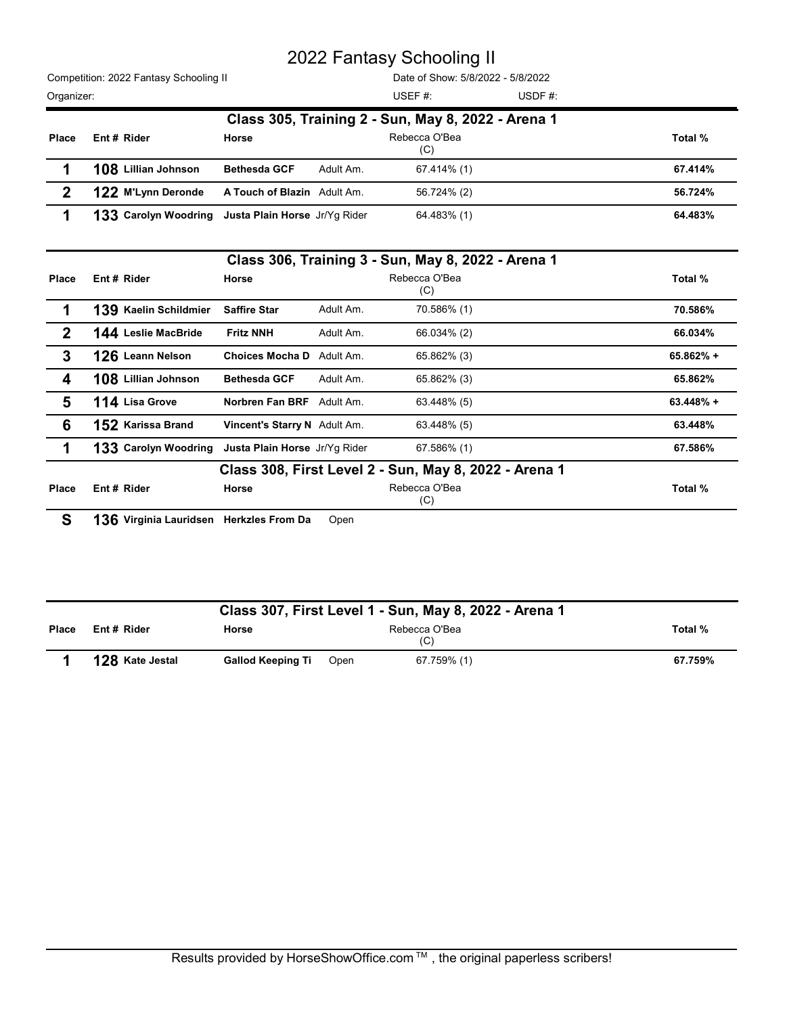|                  |                                        |                                                    | 2022 Fantasy Schooling II                          |        |           |
|------------------|----------------------------------------|----------------------------------------------------|----------------------------------------------------|--------|-----------|
|                  | Competition: 2022 Fantasy Schooling II |                                                    | Date of Show: 5/8/2022 - 5/8/2022                  |        |           |
| Organizer:       |                                        |                                                    | USEF#:                                             | USDF#: |           |
|                  |                                        |                                                    | Class 305, Training 2 - Sun, May 8, 2022 - Arena 1 |        |           |
| <b>Place</b>     | Ent # Rider                            | Horse                                              | Rebecca O'Bea<br>(C)                               |        | Total %   |
| 1                | 108 Lillian Johnson                    | Adult Am.<br><b>Bethesda GCF</b>                   | 67.414% (1)                                        |        | 67.414%   |
| $\boldsymbol{2}$ | 122 M'Lynn Deronde                     | A Touch of Blazin Adult Am.                        | 56.724% (2)                                        |        | 56.724%   |
| 1                |                                        | 133 Carolyn Woodring Justa Plain Horse Jr/Yg Rider | 64.483% (1)                                        |        | 64.483%   |
|                  |                                        |                                                    | Class 306, Training 3 - Sun, May 8, 2022 - Arena 1 |        |           |
| <b>Place</b>     | Ent # Rider                            | Horse                                              | Rebecca O'Bea<br>(C)                               |        | Total %   |
| 1                | 139 Kaelin Schildmier                  | <b>Saffire Star</b><br>Adult Am.                   | 70.586% (1)                                        |        | 70.586%   |
| $\boldsymbol{2}$ | 144 Leslie MacBride                    | <b>Fritz NNH</b><br>Adult Am.                      | 66.034% (2)                                        |        | 66.034%   |
| 3                | 126 Leann Nelson                       | Choices Mocha D Adult Am.                          | 65.862% (3)                                        |        | 65.862% + |

|                  |                                                    |                              |           | 2022 Fantasy Schooling II                                           |        |             |
|------------------|----------------------------------------------------|------------------------------|-----------|---------------------------------------------------------------------|--------|-------------|
|                  | Competition: 2022 Fantasy Schooling II             |                              |           | Date of Show: 5/8/2022 - 5/8/2022                                   |        |             |
| Organizer:       |                                                    |                              |           | USEF #:                                                             | USDF#: |             |
| Place            | Ent # Rider                                        | Horse                        |           | Class 305, Training 2 - Sun, May 8, 2022 - Arena 1<br>Rebecca O'Bea |        | Total %     |
|                  |                                                    |                              |           | (C)                                                                 |        |             |
| 1                | 108 Lillian Johnson                                | <b>Bethesda GCF</b>          | Adult Am. | 67.414% (1)                                                         |        | 67.414%     |
| $\boldsymbol{2}$ | 122 M'Lynn Deronde                                 | A Touch of Blazin Adult Am.  |           | 56.724% (2)                                                         |        | 56.724%     |
| 1                | 133 Carolyn Woodring Justa Plain Horse Jr/Yg Rider |                              |           | 64.483% (1)                                                         |        | 64.483%     |
|                  |                                                    |                              |           | Class 306, Training 3 - Sun, May 8, 2022 - Arena 1                  |        |             |
| Place            | Ent # Rider                                        | Horse                        |           | Rebecca O'Bea<br>(C)                                                |        | Total %     |
| 1                | 139 Kaelin Schildmier                              | <b>Saffire Star</b>          | Adult Am. | 70.586% (1)                                                         |        | 70.586%     |
| $\boldsymbol{2}$ | 144 Leslie MacBride                                | <b>Fritz NNH</b>             | Adult Am. | 66.034% (2)                                                         |        | 66.034%     |
| $\mathbf 3$      | 126 Leann Nelson                                   | Choices Mocha D Adult Am.    |           | 65.862% (3)                                                         |        | 65.862% +   |
| 4                | 108 Lillian Johnson                                | <b>Bethesda GCF</b>          | Adult Am. | 65.862% (3)                                                         |        | 65.862%     |
| 5                | 114 Lisa Grove                                     | Norbren Fan BRF Adult Am.    |           | 63.448% (5)                                                         |        | $63.448% +$ |
| $6\phantom{1}6$  | 152 Karissa Brand                                  | Vincent's Starry N Adult Am. |           | 63.448% (5)                                                         |        | 63.448%     |
| 1                | 133 Carolyn Woodring Justa Plain Horse Jr/Yg Rider |                              |           | 67.586% (1)                                                         |        | 67.586%     |
|                  |                                                    |                              |           | Class 308, First Level 2 - Sun, May 8, 2022 - Arena 1               |        |             |
| Place            | Ent # Rider                                        | Horse                        |           | Rebecca O'Bea<br>(C)                                                |        | Total %     |
| S                | 136 Virginia Lauridsen Herkzles From Da            |                              | Open      |                                                                     |        |             |
|                  |                                                    |                              |           |                                                                     |        |             |
|                  |                                                    |                              |           | Class 307, First Level 1 - Sun, May 8, 2022 - Arena 1               |        |             |
| Place            | Ent# Rider                                         | Horse                        |           | Rebecca O'Bea<br>(C)                                                |        | Total %     |
|                  | 128 Kate Jestal                                    | <b>Gallod Keeping Ti</b>     | Open      | 67.759% (1)                                                         |        | 67.759%     |

|       |                 |                          |      | Class 307, First Level 1 - Sun, May 8, 2022 - Arena 1 |         |
|-------|-----------------|--------------------------|------|-------------------------------------------------------|---------|
| Place | Ent#Rider       | Horse                    |      | Rebecca O'Bea<br>(C)                                  | Total % |
|       | 128 Kate Jestal | <b>Gallod Keeping Ti</b> | Open | 67.759% (1)                                           | 67.759% |